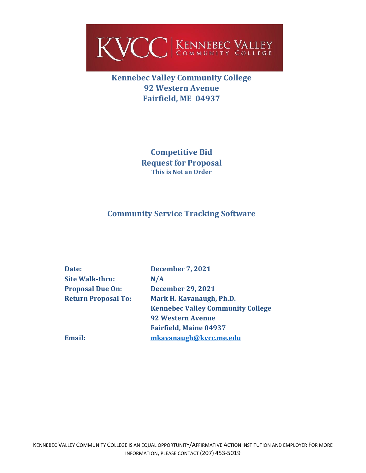

**Kennebec Valley Community College 92 Western Avenue Fairfield, ME 04937**

> **Competitive Bid Request for Proposal This is Not an Order**

# **Community Service Tracking Software**

| Date:                      | <b>December 7, 2021</b>                  |
|----------------------------|------------------------------------------|
| <b>Site Walk-thru:</b>     | N/A                                      |
| <b>Proposal Due On:</b>    | <b>December 29, 2021</b>                 |
| <b>Return Proposal To:</b> | Mark H. Kavanaugh, Ph.D.                 |
|                            | <b>Kennebec Valley Community College</b> |
|                            | <b>92 Western Avenue</b>                 |
|                            | <b>Fairfield, Maine 04937</b>            |
| <b>Email:</b>              | mkavanaugh@kvcc.me.edu                   |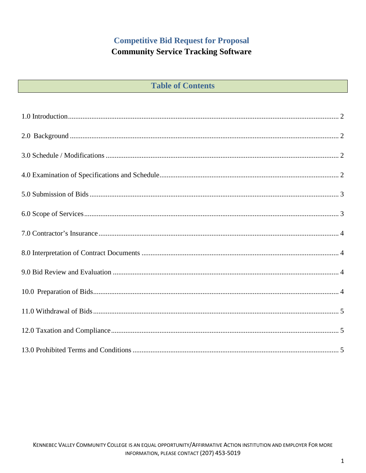# **Competitive Bid Request for Proposal**

# **Community Service Tracking Software**

| <b>Table of Contents</b> |  |  |  |
|--------------------------|--|--|--|
|--------------------------|--|--|--|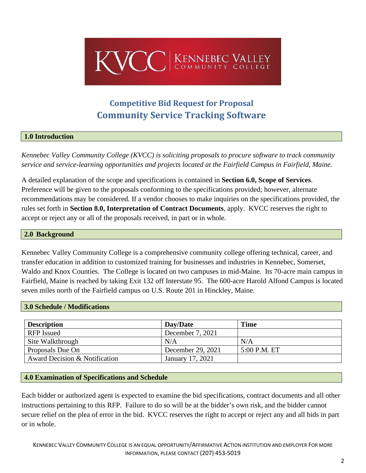

# **Competitive Bid Request for Proposal Community Service Tracking Software**

#### <span id="page-2-0"></span>**1.0 Introduction**

*Kennebec Valley Community College (KVCC) is soliciting proposals to procure software to track community service and service-learning opportunities and projects located at the Fairfield Campus in Fairfield, Maine.*

A detailed explanation of the scope and specifications is contained in **Section 6.0, Scope of Services**. Preference will be given to the proposals conforming to the specifications provided; however, alternate recommendations may be considered. If a vendor chooses to make inquiries on the specifications provided, the rules set forth in **Section 8.0, Interpretation of Contract Documents**, apply. KVCC reserves the right to accept or reject any or all of the proposals received, in part or in whole.

#### <span id="page-2-1"></span>**2.0 Background**

Kennebec Valley Community College is a comprehensive community college offering technical, career, and transfer education in addition to customized training for businesses and industries in Kennebec, Somerset, Waldo and Knox Counties. The College is located on two campuses in mid-Maine. Its 70-acre main campus in Fairfield, Maine is reached by taking Exit 132 off Interstate 95. The 600-acre Harold Alfond Campus is located seven miles north of the Fairfield campus on U.S. Route 201 in Hinckley, Maine.

#### <span id="page-2-2"></span>**3.0 Schedule / Modifications**

| <b>Description</b>            | Day/Date          | <b>Time</b>  |
|-------------------------------|-------------------|--------------|
| <b>RFP</b> Issued             | December 7, 2021  |              |
| Site Walkthrough              | N/A               | N/A          |
| Proposals Due On              | December 29, 2021 | 5:00 P.M. ET |
| Award Decision & Notification | January 17, 2021  |              |

#### <span id="page-2-3"></span>**4.0 Examination of Specifications and Schedule**

Each bidder or authorized agent is expected to examine the bid specifications, contract documents and all other instructions pertaining to this RFP. Failure to do so will be at the bidder's own risk, and the bidder cannot secure relief on the plea of error in the bid. KVCC reserves the right to accept or reject any and all bids in part or in whole.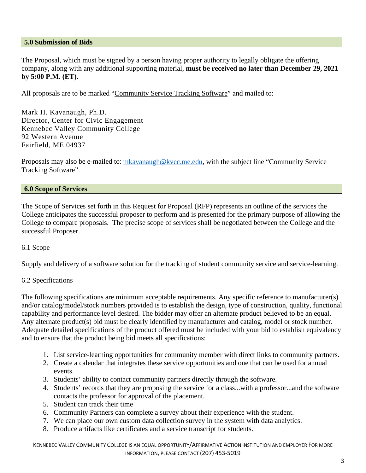#### <span id="page-3-0"></span>**5.0 Submission of Bids**

The Proposal, which must be signed by a person having proper authority to legally obligate the offering company, along with any additional supporting material, **must be received no later than December 29, 2021 by 5:00 P.M. (ET)**.

All proposals are to be marked "Community Service Tracking Software" and mailed to:

Mark H. Kavanaugh, Ph.D. Director, Center for Civic Engagement Kennebec Valley Community College 92 Western Avenue Fairfield, ME 04937

Proposals may also be e-mailed to: [mkavanaugh@kvcc.me.edu,](mailto:mkavanaugh@kvcc.me.edu) with the subject line "Community Service Tracking Software"

#### <span id="page-3-1"></span>**6.0 Scope of Services**

The Scope of Services set forth in this Request for Proposal (RFP) represents an outline of the services the College anticipates the successful proposer to perform and is presented for the primary purpose of allowing the College to compare proposals. The precise scope of services shall be negotiated between the College and the successful Proposer.

#### 6.1 Scope

Supply and delivery of a software solution for the tracking of student community service and service-learning.

## 6.2 Specifications

The following specifications are minimum acceptable requirements. Any specific reference to manufacturer(s) and/or catalog/model/stock numbers provided is to establish the design, type of construction, quality, functional capability and performance level desired. The bidder may offer an alternate product believed to be an equal. Any alternate product(s) bid must be clearly identified by manufacturer and catalog, model or stock number. Adequate detailed specifications of the product offered must be included with your bid to establish equivalency and to ensure that the product being bid meets all specifications:

- 1. List service-learning opportunities for community member with direct links to community partners.
- 2. Create a calendar that integrates these service opportunities and one that can be used for annual events.
- 3. Students' ability to contact community partners directly through the software.
- 4. Students' records that they are proposing the service for a class...with a professor...and the software contacts the professor for approval of the placement.
- 5. Student can track their time
- 6. Community Partners can complete a survey about their experience with the student.
- 7. We can place our own custom data collection survey in the system with data analytics.
- 8. Produce artifacts like certificates and a service transcript for students.

KENNEBEC VALLEY COMMUNITY COLLEGE IS AN EQUAL OPPORTUNITY/AFFIRMATIVE ACTION INSTITUTION AND EMPLOYER FOR MORE INFORMATION, PLEASE CONTACT (207) 453-5019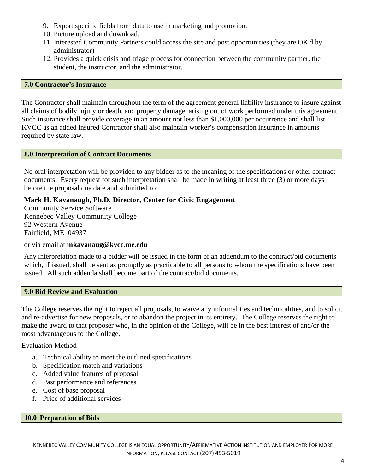- 9. Export specific fields from data to use in marketing and promotion.
- 10. Picture upload and download.
- 11. Interested Community Partners could access the site and post opportunities (they are OK'd by administrator)
- 12. Provides a quick crisis and triage process for connection between the community partner, the student, the instructor, and the administrator.

#### <span id="page-4-0"></span>**7.0 Contractor's Insurance**

<span id="page-4-1"></span>The Contractor shall maintain throughout the term of the agreement general liability insurance to insure against all claims of bodily injury or death, and property damage, arising out of work performed under this agreement. Such insurance shall provide coverage in an amount not less than \$1,000,000 per occurrence and shall list KVCC as an added insured Contractor shall also maintain worker's compensation insurance in amounts required by state law.

#### **8.0 Interpretation of Contract Documents**

No oral interpretation will be provided to any bidder as to the meaning of the specifications or other contract documents. Every request for such interpretation shall be made in writing at least three (3) or more days before the proposal due date and submitted to:

#### **Mark H. Kavanaugh, Ph.D. Director, Center for Civic Engagement**

Community Service Software Kennebec Valley Community College 92 Western Avenue Fairfield, ME 04937

#### or via email at **mkavanaug@kvcc.me.edu**

Any interpretation made to a bidder will be issued in the form of an addendum to the contract/bid documents which, if issued, shall be sent as promptly as practicable to all persons to whom the specifications have been issued. All such addenda shall become part of the contract/bid documents.

#### <span id="page-4-2"></span>**9.0 Bid Review and Evaluation**

The College reserves the right to reject all proposals, to waive any informalities and technicalities, and to solicit and re-advertise for new proposals, or to abandon the project in its entirety. The College reserves the right to make the award to that proposer who, in the opinion of the College, will be in the best interest of and/or the most advantageous to the College.

#### Evaluation Method

- a. Technical ability to meet the outlined specifications
- b. Specification match and variations
- c. Added value features of proposal
- d. Past performance and references
- e. Cost of base proposal
- f. Price of additional services

#### <span id="page-4-3"></span>**10.0 Preparation of Bids**

KENNEBEC VALLEY COMMUNITY COLLEGE IS AN EQUAL OPPORTUNITY/AFFIRMATIVE ACTION INSTITUTION AND EMPLOYER FOR MORE INFORMATION, PLEASE CONTACT (207) 453-5019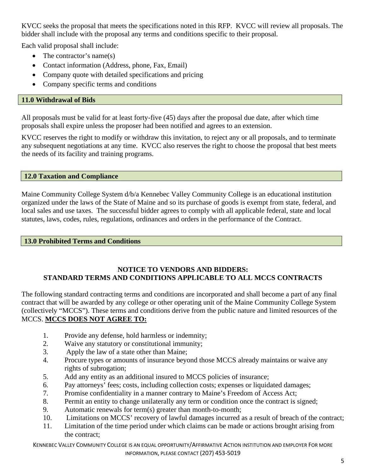KVCC seeks the proposal that meets the specifications noted in this RFP. KVCC will review all proposals. The bidder shall include with the proposal any terms and conditions specific to their proposal.

Each valid proposal shall include:

- The contractor's name(s)
- Contact information (Address, phone, Fax, Email)
- Company quote with detailed specifications and pricing
- Company specific terms and conditions

## <span id="page-5-0"></span>**11.0 Withdrawal of Bids**

All proposals must be valid for at least forty-five (45) days after the proposal due date, after which time proposals shall expire unless the proposer had been notified and agrees to an extension.

KVCC reserves the right to modify or withdraw this invitation, to reject any or all proposals, and to terminate any subsequent negotiations at any time. KVCC also reserves the right to choose the proposal that best meets the needs of its facility and training programs.

## <span id="page-5-1"></span>**12.0 Taxation and Compliance**

Maine Community College System d/b/a Kennebec Valley Community College is an educational institution organized under the laws of the State of Maine and so its purchase of goods is exempt from state, federal, and local sales and use taxes. The successful bidder agrees to comply with all applicable federal, state and local statutes, laws, codes, rules, regulations, ordinances and orders in the performance of the Contract.

## <span id="page-5-2"></span>**13.0 Prohibited Terms and Conditions**

# **NOTICE TO VENDORS AND BIDDERS: STANDARD TERMS AND CONDITIONS APPLICABLE TO ALL MCCS CONTRACTS**

The following standard contracting terms and conditions are incorporated and shall become a part of any final contract that will be awarded by any college or other operating unit of the Maine Community College System (collectively "MCCS"). These terms and conditions derive from the public nature and limited resources of the MCCS. **MCCS DOES NOT AGREE TO:**

- 1. Provide any defense, hold harmless or indemnity;
- 2. Waive any statutory or constitutional immunity;
- 3. Apply the law of a state other than Maine;
- 4. Procure types or amounts of insurance beyond those MCCS already maintains or waive any rights of subrogation;
- 5. Add any entity as an additional insured to MCCS policies of insurance;
- 6. Pay attorneys' fees; costs, including collection costs; expenses or liquidated damages;
- 7. Promise confidentiality in a manner contrary to Maine's Freedom of Access Act;
- 8. Permit an entity to change unilaterally any term or condition once the contract is signed;
- 9. Automatic renewals for term(s) greater than month-to-month;
- 10. Limitations on MCCS' recovery of lawful damages incurred as a result of breach of the contract;
- 11. Limitation of the time period under which claims can be made or actions brought arising from the contract;

KENNEBEC VALLEY COMMUNITY COLLEGE IS AN EQUAL OPPORTUNITY/AFFIRMATIVE ACTION INSTITUTION AND EMPLOYER FOR MORE INFORMATION, PLEASE CONTACT (207) 453-5019